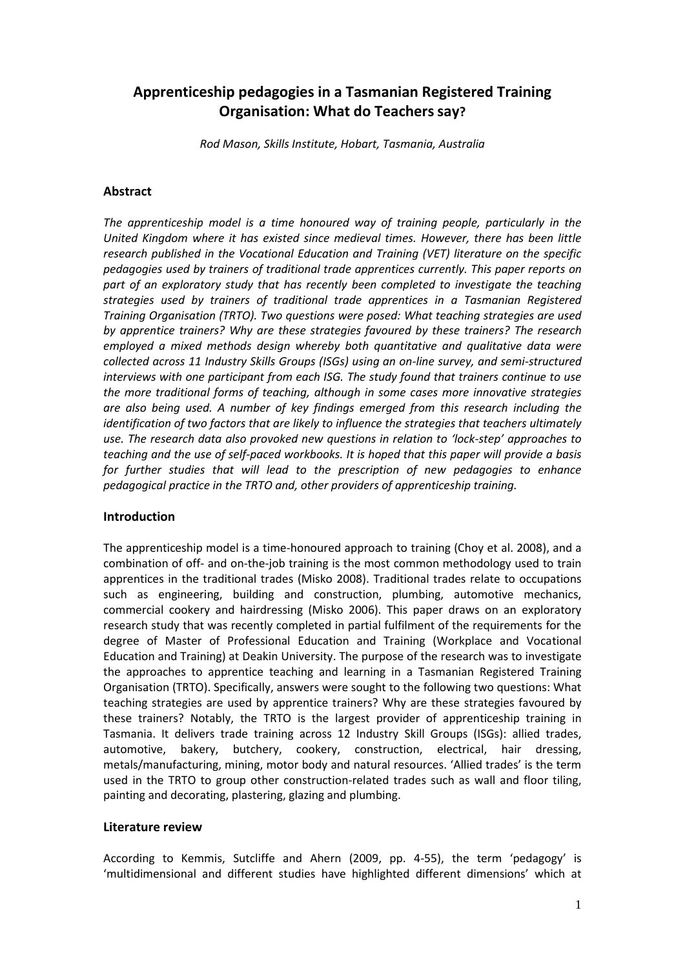# **Apprenticeship pedagogies in a Tasmanian Registered Training Organisation: What do Teachers say?**

*Rod Mason, Skills Institute, Hobart, Tasmania, Australia*

#### **Abstract**

*The apprenticeship model is a time honoured way of training people, particularly in the United Kingdom where it has existed since medieval times. However, there has been little research published in the Vocational Education and Training (VET) literature on the specific pedagogies used by trainers of traditional trade apprentices currently. This paper reports on part of an exploratory study that has recently been completed to investigate the teaching strategies used by trainers of traditional trade apprentices in a Tasmanian Registered Training Organisation (TRTO). Two questions were posed: What teaching strategies are used by apprentice trainers? Why are these strategies favoured by these trainers? The research employed a mixed methods design whereby both quantitative and qualitative data were collected across 11 Industry Skills Groups (ISGs) using an on-line survey, and semi-structured interviews with one participant from each ISG. The study found that trainers continue to use the more traditional forms of teaching, although in some cases more innovative strategies are also being used. A number of key findings emerged from this research including the identification of two factors that are likely to influence the strategies that teachers ultimately use. The research data also provoked new questions in relation to 'lock-step' approaches to teaching and the use of self-paced workbooks. It is hoped that this paper will provide a basis*  for further studies that will lead to the prescription of new pedagogies to enhance *pedagogical practice in the TRTO and, other providers of apprenticeship training.* 

#### **Introduction**

The apprenticeship model is a time-honoured approach to training (Choy et al. 2008), and a combination of off- and on-the-job training is the most common methodology used to train apprentices in the traditional trades (Misko 2008). Traditional trades relate to occupations such as engineering, building and construction, plumbing, automotive mechanics, commercial cookery and hairdressing (Misko 2006). This paper draws on an exploratory research study that was recently completed in partial fulfilment of the requirements for the degree of Master of Professional Education and Training (Workplace and Vocational Education and Training) at Deakin University. The purpose of the research was to investigate the approaches to apprentice teaching and learning in a Tasmanian Registered Training Organisation (TRTO). Specifically, answers were sought to the following two questions: What teaching strategies are used by apprentice trainers? Why are these strategies favoured by these trainers? Notably, the TRTO is the largest provider of apprenticeship training in Tasmania. It delivers trade training across 12 Industry Skill Groups (ISGs): allied trades, automotive, bakery, butchery, cookery, construction, electrical, hair dressing, metals/manufacturing, mining, motor body and natural resources. 'Allied trades' is the term used in the TRTO to group other construction-related trades such as wall and floor tiling, painting and decorating, plastering, glazing and plumbing.

#### **Literature review**

According to Kemmis, Sutcliffe and Ahern (2009, pp. 4-55), the term 'pedagogy' is 'multidimensional and different studies have highlighted different dimensions' which at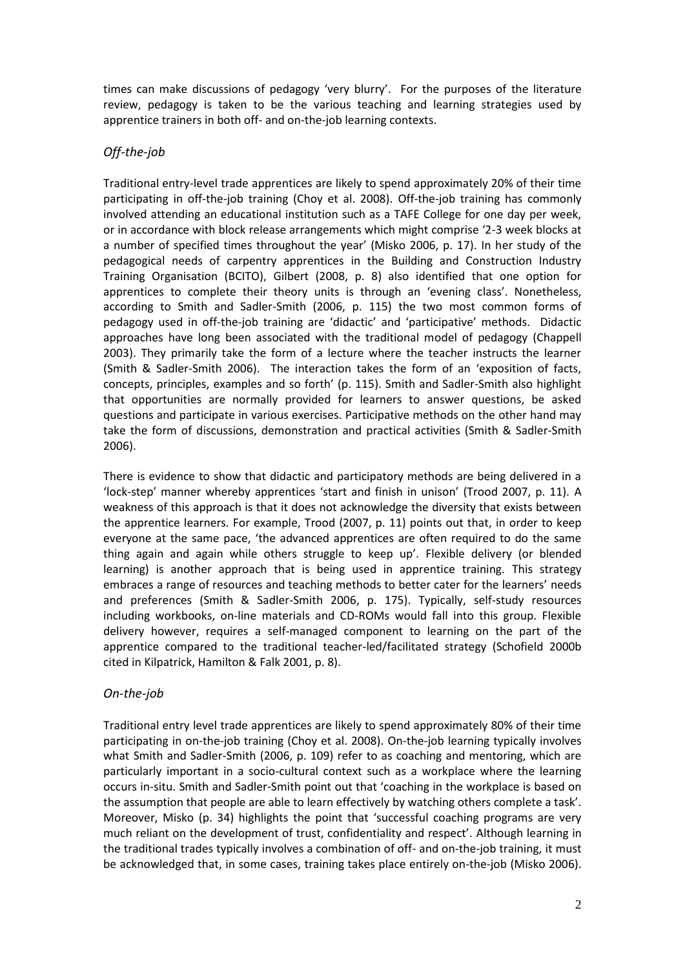times can make discussions of pedagogy 'very blurry'. For the purposes of the literature review, pedagogy is taken to be the various teaching and learning strategies used by apprentice trainers in both off- and on-the-job learning contexts.

# *Off-the-job*

Traditional entry-level trade apprentices are likely to spend approximately 20% of their time participating in off-the-job training (Choy et al. 2008). Off-the-job training has commonly involved attending an educational institution such as a TAFE College for one day per week, or in accordance with block release arrangements which might comprise '2-3 week blocks at a number of specified times throughout the year' (Misko 2006, p. 17). In her study of the pedagogical needs of carpentry apprentices in the Building and Construction Industry Training Organisation (BCITO), Gilbert (2008, p. 8) also identified that one option for apprentices to complete their theory units is through an 'evening class'. Nonetheless, according to Smith and Sadler-Smith (2006, p. 115) the two most common forms of pedagogy used in off-the-job training are 'didactic' and 'participative' methods. Didactic approaches have long been associated with the traditional model of pedagogy (Chappell 2003). They primarily take the form of a lecture where the teacher instructs the learner (Smith & Sadler-Smith 2006). The interaction takes the form of an 'exposition of facts, concepts, principles, examples and so forth' (p. 115). Smith and Sadler-Smith also highlight that opportunities are normally provided for learners to answer questions, be asked questions and participate in various exercises. Participative methods on the other hand may take the form of discussions, demonstration and practical activities (Smith & Sadler-Smith 2006).

There is evidence to show that didactic and participatory methods are being delivered in a 'lock-step' manner whereby apprentices 'start and finish in unison' (Trood 2007, p. 11). A weakness of this approach is that it does not acknowledge the diversity that exists between the apprentice learners. For example, Trood (2007, p. 11) points out that, in order to keep everyone at the same pace, 'the advanced apprentices are often required to do the same thing again and again while others struggle to keep up'. Flexible delivery (or blended learning) is another approach that is being used in apprentice training. This strategy embraces a range of resources and teaching methods to better cater for the learners' needs and preferences (Smith & Sadler-Smith 2006, p. 175). Typically, self-study resources including workbooks, on-line materials and CD-ROMs would fall into this group. Flexible delivery however, requires a self-managed component to learning on the part of the apprentice compared to the traditional teacher-led/facilitated strategy (Schofield 2000b cited in Kilpatrick, Hamilton & Falk 2001, p. 8).

# *On-the-job*

Traditional entry level trade apprentices are likely to spend approximately 80% of their time participating in on-the-job training (Choy et al. 2008). On-the-job learning typically involves what Smith and Sadler-Smith (2006, p. 109) refer to as coaching and mentoring, which are particularly important in a socio-cultural context such as a workplace where the learning occurs in-situ. Smith and Sadler-Smith point out that 'coaching in the workplace is based on the assumption that people are able to learn effectively by watching others complete a task'. Moreover, Misko (p. 34) highlights the point that 'successful coaching programs are very much reliant on the development of trust, confidentiality and respect'. Although learning in the traditional trades typically involves a combination of off- and on-the-job training, it must be acknowledged that, in some cases, training takes place entirely on-the-job (Misko 2006).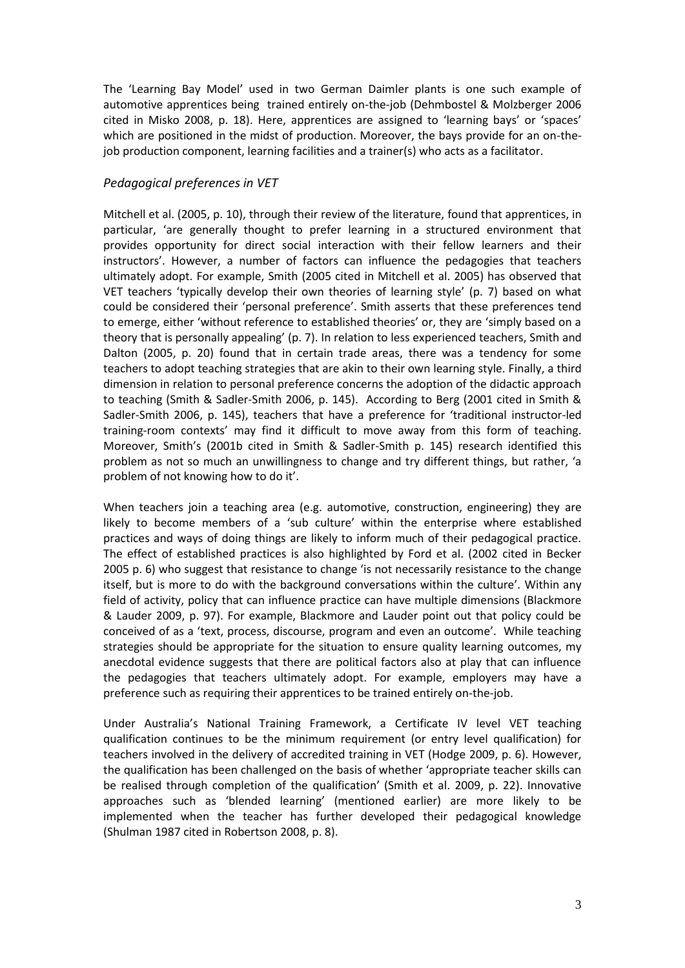The 'Learning Bay Model' used in two German Daimler plants is one such example of automotive apprentices being trained entirely on-the-job (Dehmbostel & Molzberger 2006 cited in Misko 2008, p. 18). Here, apprentices are assigned to 'learning bays' or 'spaces' which are positioned in the midst of production. Moreover, the bays provide for an on-thejob production component, learning facilities and a trainer(s) who acts as a facilitator.

## *Pedagogical preferences in VET*

Mitchell et al. (2005, p. 10), through their review of the literature, found that apprentices, in particular, 'are generally thought to prefer learning in a structured environment that provides opportunity for direct social interaction with their fellow learners and their instructors'. However, a number of factors can influence the pedagogies that teachers ultimately adopt. For example, Smith (2005 cited in Mitchell et al. 2005) has observed that VET teachers 'typically develop their own theories of learning style' (p. 7) based on what could be considered their 'personal preference'. Smith asserts that these preferences tend to emerge, either 'without reference to established theories' or, they are 'simply based on a theory that is personally appealing' (p. 7). In relation to less experienced teachers, Smith and Dalton (2005, p. 20) found that in certain trade areas, there was a tendency for some teachers to adopt teaching strategies that are akin to their own learning style. Finally, a third dimension in relation to personal preference concerns the adoption of the didactic approach to teaching (Smith & Sadler-Smith 2006, p. 145). According to Berg (2001 cited in Smith & Sadler-Smith 2006, p. 145), teachers that have a preference for 'traditional instructor-led training-room contexts' may find it difficult to move away from this form of teaching. Moreover, Smith's (2001b cited in Smith & Sadler-Smith p. 145) research identified this problem as not so much an unwillingness to change and try different things, but rather, 'a problem of not knowing how to do it'.

When teachers join a teaching area (e.g. automotive, construction, engineering) they are likely to become members of a 'sub culture' within the enterprise where established practices and ways of doing things are likely to inform much of their pedagogical practice. The effect of established practices is also highlighted by Ford et al. (2002 cited in Becker 2005 p. 6) who suggest that resistance to change 'is not necessarily resistance to the change itself, but is more to do with the background conversations within the culture'. Within any field of activity, policy that can influence practice can have multiple dimensions (Blackmore & Lauder 2009, p. 97). For example, Blackmore and Lauder point out that policy could be conceived of as a 'text, process, discourse, program and even an outcome'. While teaching strategies should be appropriate for the situation to ensure quality learning outcomes, my anecdotal evidence suggests that there are political factors also at play that can influence the pedagogies that teachers ultimately adopt. For example, employers may have a preference such as requiring their apprentices to be trained entirely on-the-job.

Under Australia's National Training Framework, a Certificate IV level VET teaching qualification continues to be the minimum requirement (or entry level qualification) for teachers involved in the delivery of accredited training in VET (Hodge 2009, p. 6). However, the qualification has been challenged on the basis of whether 'appropriate teacher skills can be realised through completion of the qualification' (Smith et al. 2009, p. 22). Innovative approaches such as 'blended learning' (mentioned earlier) are more likely to be implemented when the teacher has further developed their pedagogical knowledge (Shulman 1987 cited in Robertson 2008, p. 8).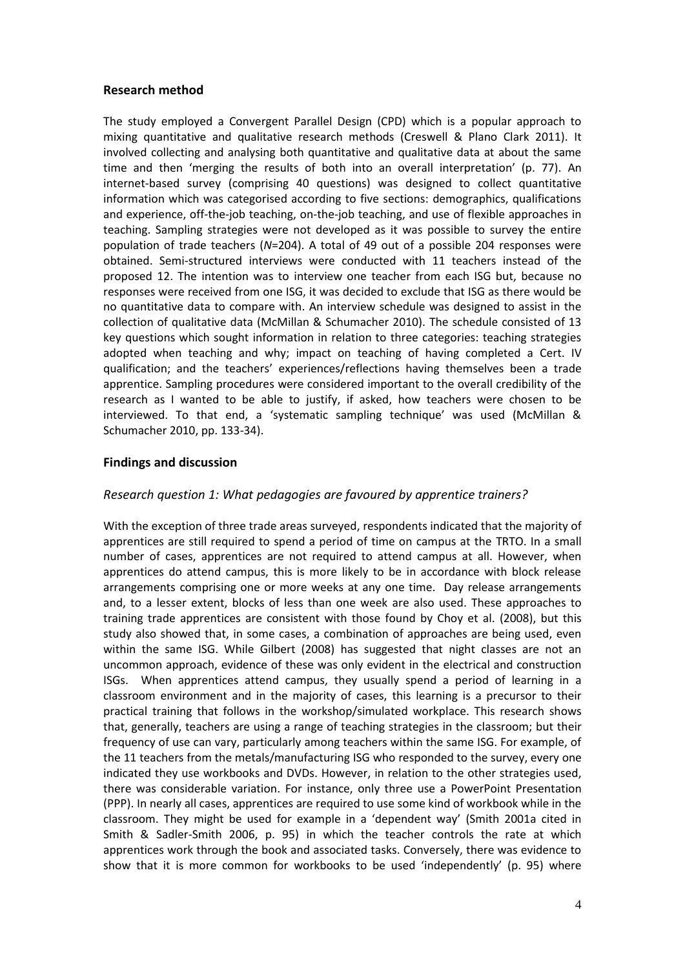#### **Research method**

The study employed a Convergent Parallel Design (CPD) which is a popular approach to mixing quantitative and qualitative research methods (Creswell & Plano Clark 2011). It involved collecting and analysing both quantitative and qualitative data at about the same time and then 'merging the results of both into an overall interpretation' (p. 77). An internet-based survey (comprising 40 questions) was designed to collect quantitative information which was categorised according to five sections: demographics, qualifications and experience, off-the-job teaching, on-the-job teaching, and use of flexible approaches in teaching. Sampling strategies were not developed as it was possible to survey the entire population of trade teachers (*N*=204). A total of 49 out of a possible 204 responses were obtained. Semi-structured interviews were conducted with 11 teachers instead of the proposed 12. The intention was to interview one teacher from each ISG but, because no responses were received from one ISG, it was decided to exclude that ISG as there would be no quantitative data to compare with. An interview schedule was designed to assist in the collection of qualitative data (McMillan & Schumacher 2010). The schedule consisted of 13 key questions which sought information in relation to three categories: teaching strategies adopted when teaching and why; impact on teaching of having completed a Cert. IV qualification; and the teachers' experiences/reflections having themselves been a trade apprentice. Sampling procedures were considered important to the overall credibility of the research as I wanted to be able to justify, if asked, how teachers were chosen to be interviewed. To that end, a 'systematic sampling technique' was used (McMillan & Schumacher 2010, pp. 133-34).

#### **Findings and discussion**

### *Research question 1: What pedagogies are favoured by apprentice trainers?*

With the exception of three trade areas surveyed, respondents indicated that the majority of apprentices are still required to spend a period of time on campus at the TRTO. In a small number of cases, apprentices are not required to attend campus at all. However, when apprentices do attend campus, this is more likely to be in accordance with block release arrangements comprising one or more weeks at any one time. Day release arrangements and, to a lesser extent, blocks of less than one week are also used. These approaches to training trade apprentices are consistent with those found by Choy et al. (2008), but this study also showed that, in some cases, a combination of approaches are being used, even within the same ISG. While Gilbert (2008) has suggested that night classes are not an uncommon approach, evidence of these was only evident in the electrical and construction ISGs. When apprentices attend campus, they usually spend a period of learning in a classroom environment and in the majority of cases, this learning is a precursor to their practical training that follows in the workshop/simulated workplace. This research shows that, generally, teachers are using a range of teaching strategies in the classroom; but their frequency of use can vary, particularly among teachers within the same ISG. For example, of the 11 teachers from the metals/manufacturing ISG who responded to the survey, every one indicated they use workbooks and DVDs. However, in relation to the other strategies used, there was considerable variation. For instance, only three use a PowerPoint Presentation (PPP). In nearly all cases, apprentices are required to use some kind of workbook while in the classroom. They might be used for example in a 'dependent way' (Smith 2001a cited in Smith & Sadler-Smith 2006, p. 95) in which the teacher controls the rate at which apprentices work through the book and associated tasks. Conversely, there was evidence to show that it is more common for workbooks to be used 'independently' (p. 95) where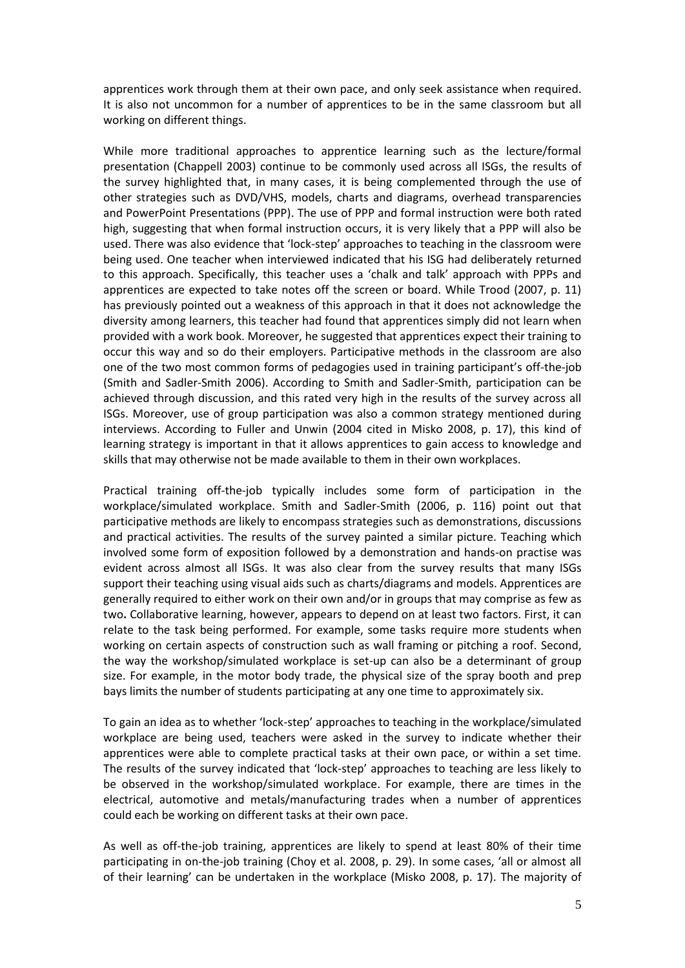apprentices work through them at their own pace, and only seek assistance when required. It is also not uncommon for a number of apprentices to be in the same classroom but all working on different things.

While more traditional approaches to apprentice learning such as the lecture/formal presentation (Chappell 2003) continue to be commonly used across all ISGs, the results of the survey highlighted that, in many cases, it is being complemented through the use of other strategies such as DVD/VHS, models, charts and diagrams, overhead transparencies and PowerPoint Presentations (PPP). The use of PPP and formal instruction were both rated high, suggesting that when formal instruction occurs, it is very likely that a PPP will also be used. There was also evidence that 'lock-step' approaches to teaching in the classroom were being used. One teacher when interviewed indicated that his ISG had deliberately returned to this approach. Specifically, this teacher uses a 'chalk and talk' approach with PPPs and apprentices are expected to take notes off the screen or board. While Trood (2007, p. 11) has previously pointed out a weakness of this approach in that it does not acknowledge the diversity among learners, this teacher had found that apprentices simply did not learn when provided with a work book. Moreover, he suggested that apprentices expect their training to occur this way and so do their employers. Participative methods in the classroom are also one of the two most common forms of pedagogies used in training participant's off-the-job (Smith and Sadler-Smith 2006). According to Smith and Sadler-Smith, participation can be achieved through discussion, and this rated very high in the results of the survey across all ISGs. Moreover, use of group participation was also a common strategy mentioned during interviews. According to Fuller and Unwin (2004 cited in Misko 2008, p. 17), this kind of learning strategy is important in that it allows apprentices to gain access to knowledge and skills that may otherwise not be made available to them in their own workplaces.

Practical training off-the-job typically includes some form of participation in the workplace/simulated workplace. Smith and Sadler-Smith (2006, p. 116) point out that participative methods are likely to encompass strategies such as demonstrations, discussions and practical activities. The results of the survey painted a similar picture. Teaching which involved some form of exposition followed by a demonstration and hands-on practise was evident across almost all ISGs. It was also clear from the survey results that many ISGs support their teaching using visual aids such as charts/diagrams and models. Apprentices are generally required to either work on their own and/or in groups that may comprise as few as two**.** Collaborative learning, however, appears to depend on at least two factors. First, it can relate to the task being performed. For example, some tasks require more students when working on certain aspects of construction such as wall framing or pitching a roof. Second, the way the workshop/simulated workplace is set-up can also be a determinant of group size. For example, in the motor body trade, the physical size of the spray booth and prep bays limits the number of students participating at any one time to approximately six.

To gain an idea as to whether 'lock-step' approaches to teaching in the workplace/simulated workplace are being used, teachers were asked in the survey to indicate whether their apprentices were able to complete practical tasks at their own pace, or within a set time. The results of the survey indicated that 'lock-step' approaches to teaching are less likely to be observed in the workshop/simulated workplace. For example, there are times in the electrical, automotive and metals/manufacturing trades when a number of apprentices could each be working on different tasks at their own pace.

As well as off-the-job training, apprentices are likely to spend at least 80% of their time participating in on-the-job training (Choy et al. 2008, p. 29). In some cases, 'all or almost all of their learning' can be undertaken in the workplace (Misko 2008, p. 17). The majority of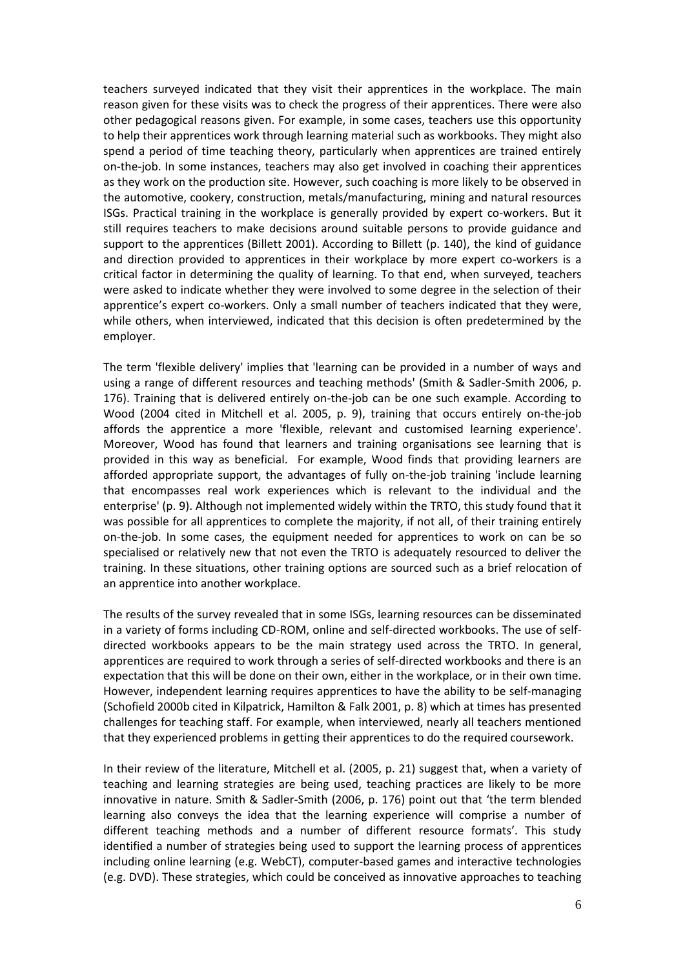teachers surveyed indicated that they visit their apprentices in the workplace. The main reason given for these visits was to check the progress of their apprentices. There were also other pedagogical reasons given. For example, in some cases, teachers use this opportunity to help their apprentices work through learning material such as workbooks. They might also spend a period of time teaching theory, particularly when apprentices are trained entirely on-the-job. In some instances, teachers may also get involved in coaching their apprentices as they work on the production site. However, such coaching is more likely to be observed in the automotive, cookery, construction, metals/manufacturing, mining and natural resources ISGs. Practical training in the workplace is generally provided by expert co-workers. But it still requires teachers to make decisions around suitable persons to provide guidance and support to the apprentices (Billett 2001). According to Billett (p. 140), the kind of guidance and direction provided to apprentices in their workplace by more expert co-workers is a critical factor in determining the quality of learning. To that end, when surveyed, teachers were asked to indicate whether they were involved to some degree in the selection of their apprentice's expert co-workers. Only a small number of teachers indicated that they were, while others, when interviewed, indicated that this decision is often predetermined by the employer.

The term 'flexible delivery' implies that 'learning can be provided in a number of ways and using a range of different resources and teaching methods' (Smith & Sadler-Smith 2006, p. 176). Training that is delivered entirely on-the-job can be one such example. According to Wood (2004 cited in Mitchell et al. 2005, p. 9), training that occurs entirely on-the-job affords the apprentice a more 'flexible, relevant and customised learning experience'. Moreover, Wood has found that learners and training organisations see learning that is provided in this way as beneficial. For example, Wood finds that providing learners are afforded appropriate support, the advantages of fully on-the-job training 'include learning that encompasses real work experiences which is relevant to the individual and the enterprise' (p. 9). Although not implemented widely within the TRTO, this study found that it was possible for all apprentices to complete the majority, if not all, of their training entirely on-the-job. In some cases, the equipment needed for apprentices to work on can be so specialised or relatively new that not even the TRTO is adequately resourced to deliver the training. In these situations, other training options are sourced such as a brief relocation of an apprentice into another workplace.

The results of the survey revealed that in some ISGs, learning resources can be disseminated in a variety of forms including CD-ROM, online and self-directed workbooks. The use of selfdirected workbooks appears to be the main strategy used across the TRTO. In general, apprentices are required to work through a series of self-directed workbooks and there is an expectation that this will be done on their own, either in the workplace, or in their own time. However, independent learning requires apprentices to have the ability to be self-managing (Schofield 2000b cited in Kilpatrick, Hamilton & Falk 2001, p. 8) which at times has presented challenges for teaching staff. For example, when interviewed, nearly all teachers mentioned that they experienced problems in getting their apprentices to do the required coursework.

In their review of the literature, Mitchell et al. (2005, p. 21) suggest that, when a variety of teaching and learning strategies are being used, teaching practices are likely to be more innovative in nature. Smith & Sadler-Smith (2006, p. 176) point out that 'the term blended learning also conveys the idea that the learning experience will comprise a number of different teaching methods and a number of different resource formats'. This study identified a number of strategies being used to support the learning process of apprentices including online learning (e.g. WebCT), computer-based games and interactive technologies (e.g. DVD). These strategies, which could be conceived as innovative approaches to teaching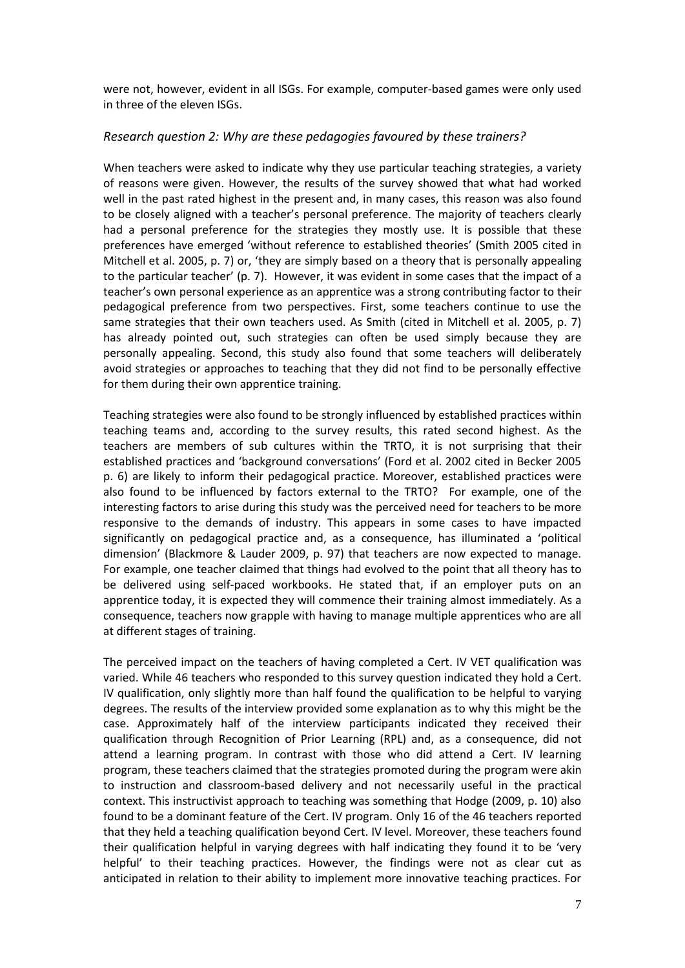were not, however, evident in all ISGs. For example, computer-based games were only used in three of the eleven ISGs.

#### *Research question 2: Why are these pedagogies favoured by these trainers?*

When teachers were asked to indicate why they use particular teaching strategies, a variety of reasons were given. However, the results of the survey showed that what had worked well in the past rated highest in the present and, in many cases, this reason was also found to be closely aligned with a teacher's personal preference. The majority of teachers clearly had a personal preference for the strategies they mostly use. It is possible that these preferences have emerged 'without reference to established theories' (Smith 2005 cited in Mitchell et al. 2005, p. 7) or, 'they are simply based on a theory that is personally appealing to the particular teacher' (p. 7). However, it was evident in some cases that the impact of a teacher's own personal experience as an apprentice was a strong contributing factor to their pedagogical preference from two perspectives. First, some teachers continue to use the same strategies that their own teachers used. As Smith (cited in Mitchell et al. 2005, p. 7) has already pointed out, such strategies can often be used simply because they are personally appealing. Second, this study also found that some teachers will deliberately avoid strategies or approaches to teaching that they did not find to be personally effective for them during their own apprentice training.

Teaching strategies were also found to be strongly influenced by established practices within teaching teams and, according to the survey results, this rated second highest. As the teachers are members of sub cultures within the TRTO, it is not surprising that their established practices and 'background conversations' (Ford et al. 2002 cited in Becker 2005 p. 6) are likely to inform their pedagogical practice. Moreover, established practices were also found to be influenced by factors external to the TRTO? For example, one of the interesting factors to arise during this study was the perceived need for teachers to be more responsive to the demands of industry. This appears in some cases to have impacted significantly on pedagogical practice and, as a consequence, has illuminated a 'political dimension' (Blackmore & Lauder 2009, p. 97) that teachers are now expected to manage. For example, one teacher claimed that things had evolved to the point that all theory has to be delivered using self-paced workbooks. He stated that, if an employer puts on an apprentice today, it is expected they will commence their training almost immediately. As a consequence, teachers now grapple with having to manage multiple apprentices who are all at different stages of training.

The perceived impact on the teachers of having completed a Cert. IV VET qualification was varied. While 46 teachers who responded to this survey question indicated they hold a Cert. IV qualification, only slightly more than half found the qualification to be helpful to varying degrees. The results of the interview provided some explanation as to why this might be the case. Approximately half of the interview participants indicated they received their qualification through Recognition of Prior Learning (RPL) and, as a consequence, did not attend a learning program. In contrast with those who did attend a Cert. IV learning program, these teachers claimed that the strategies promoted during the program were akin to instruction and classroom-based delivery and not necessarily useful in the practical context. This instructivist approach to teaching was something that Hodge (2009, p. 10) also found to be a dominant feature of the Cert. IV program. Only 16 of the 46 teachers reported that they held a teaching qualification beyond Cert. IV level. Moreover, these teachers found their qualification helpful in varying degrees with half indicating they found it to be 'very helpful' to their teaching practices. However, the findings were not as clear cut as anticipated in relation to their ability to implement more innovative teaching practices. For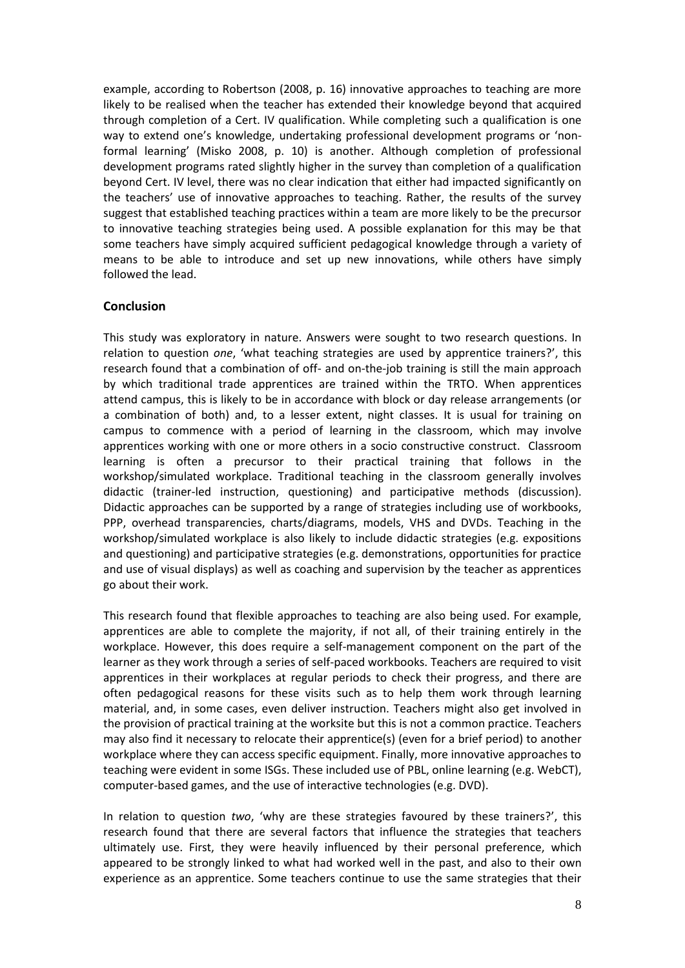example, according to Robertson (2008, p. 16) innovative approaches to teaching are more likely to be realised when the teacher has extended their knowledge beyond that acquired through completion of a Cert. IV qualification. While completing such a qualification is one way to extend one's knowledge, undertaking professional development programs or 'nonformal learning' (Misko 2008, p. 10) is another. Although completion of professional development programs rated slightly higher in the survey than completion of a qualification beyond Cert. IV level, there was no clear indication that either had impacted significantly on the teachers' use of innovative approaches to teaching. Rather, the results of the survey suggest that established teaching practices within a team are more likely to be the precursor to innovative teaching strategies being used. A possible explanation for this may be that some teachers have simply acquired sufficient pedagogical knowledge through a variety of means to be able to introduce and set up new innovations, while others have simply followed the lead.

#### **Conclusion**

This study was exploratory in nature. Answers were sought to two research questions. In relation to question *one*, 'what teaching strategies are used by apprentice trainers?', this research found that a combination of off- and on-the-job training is still the main approach by which traditional trade apprentices are trained within the TRTO. When apprentices attend campus, this is likely to be in accordance with block or day release arrangements (or a combination of both) and, to a lesser extent, night classes. It is usual for training on campus to commence with a period of learning in the classroom, which may involve apprentices working with one or more others in a socio constructive construct. Classroom learning is often a precursor to their practical training that follows in the workshop/simulated workplace. Traditional teaching in the classroom generally involves didactic (trainer-led instruction, questioning) and participative methods (discussion). Didactic approaches can be supported by a range of strategies including use of workbooks, PPP, overhead transparencies, charts/diagrams, models, VHS and DVDs. Teaching in the workshop/simulated workplace is also likely to include didactic strategies (e.g. expositions and questioning) and participative strategies (e.g. demonstrations, opportunities for practice and use of visual displays) as well as coaching and supervision by the teacher as apprentices go about their work.

This research found that flexible approaches to teaching are also being used. For example, apprentices are able to complete the majority, if not all, of their training entirely in the workplace. However, this does require a self-management component on the part of the learner as they work through a series of self-paced workbooks. Teachers are required to visit apprentices in their workplaces at regular periods to check their progress, and there are often pedagogical reasons for these visits such as to help them work through learning material, and, in some cases, even deliver instruction. Teachers might also get involved in the provision of practical training at the worksite but this is not a common practice. Teachers may also find it necessary to relocate their apprentice(s) (even for a brief period) to another workplace where they can access specific equipment. Finally, more innovative approaches to teaching were evident in some ISGs. These included use of PBL, online learning (e.g. WebCT), computer-based games, and the use of interactive technologies (e.g. DVD).

In relation to question *two*, 'why are these strategies favoured by these trainers?', this research found that there are several factors that influence the strategies that teachers ultimately use. First, they were heavily influenced by their personal preference, which appeared to be strongly linked to what had worked well in the past, and also to their own experience as an apprentice. Some teachers continue to use the same strategies that their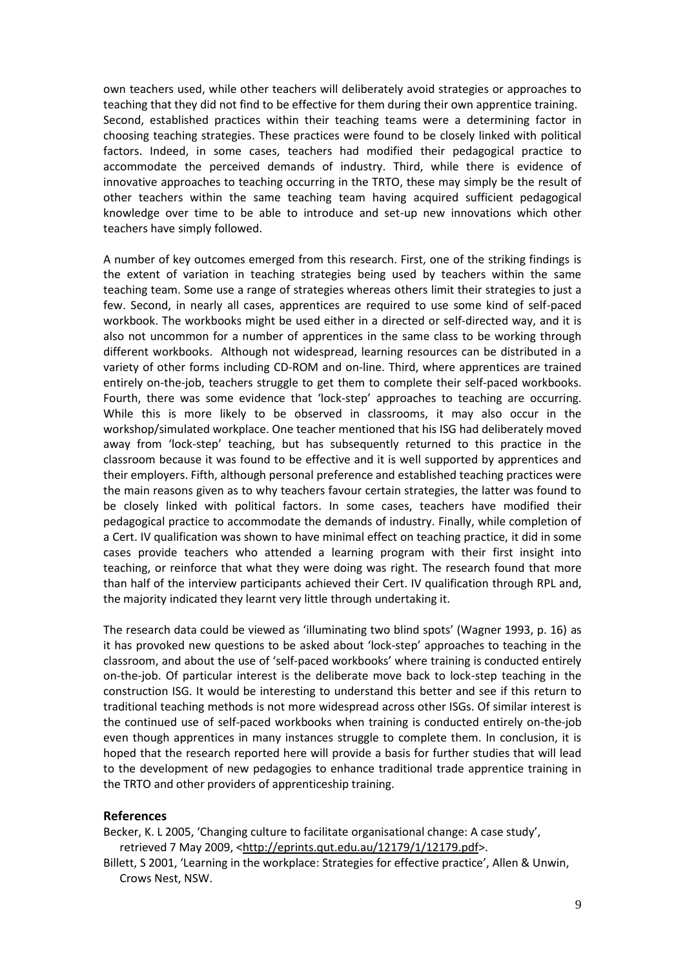own teachers used, while other teachers will deliberately avoid strategies or approaches to teaching that they did not find to be effective for them during their own apprentice training. Second, established practices within their teaching teams were a determining factor in choosing teaching strategies. These practices were found to be closely linked with political factors. Indeed, in some cases, teachers had modified their pedagogical practice to accommodate the perceived demands of industry. Third, while there is evidence of innovative approaches to teaching occurring in the TRTO, these may simply be the result of other teachers within the same teaching team having acquired sufficient pedagogical knowledge over time to be able to introduce and set-up new innovations which other teachers have simply followed.

A number of key outcomes emerged from this research. First, one of the striking findings is the extent of variation in teaching strategies being used by teachers within the same teaching team. Some use a range of strategies whereas others limit their strategies to just a few. Second, in nearly all cases, apprentices are required to use some kind of self-paced workbook. The workbooks might be used either in a directed or self-directed way, and it is also not uncommon for a number of apprentices in the same class to be working through different workbooks. Although not widespread, learning resources can be distributed in a variety of other forms including CD-ROM and on-line. Third, where apprentices are trained entirely on-the-job, teachers struggle to get them to complete their self-paced workbooks. Fourth, there was some evidence that 'lock-step' approaches to teaching are occurring. While this is more likely to be observed in classrooms, it may also occur in the workshop/simulated workplace. One teacher mentioned that his ISG had deliberately moved away from 'lock-step' teaching, but has subsequently returned to this practice in the classroom because it was found to be effective and it is well supported by apprentices and their employers. Fifth, although personal preference and established teaching practices were the main reasons given as to why teachers favour certain strategies, the latter was found to be closely linked with political factors. In some cases, teachers have modified their pedagogical practice to accommodate the demands of industry. Finally, while completion of a Cert. IV qualification was shown to have minimal effect on teaching practice, it did in some cases provide teachers who attended a learning program with their first insight into teaching, or reinforce that what they were doing was right. The research found that more than half of the interview participants achieved their Cert. IV qualification through RPL and, the majority indicated they learnt very little through undertaking it.

The research data could be viewed as 'illuminating two blind spots' (Wagner 1993, p. 16) as it has provoked new questions to be asked about 'lock-step' approaches to teaching in the classroom, and about the use of 'self-paced workbooks' where training is conducted entirely on-the-job. Of particular interest is the deliberate move back to lock-step teaching in the construction ISG. It would be interesting to understand this better and see if this return to traditional teaching methods is not more widespread across other ISGs. Of similar interest is the continued use of self-paced workbooks when training is conducted entirely on-the-job even though apprentices in many instances struggle to complete them. In conclusion, it is hoped that the research reported here will provide a basis for further studies that will lead to the development of new pedagogies to enhance traditional trade apprentice training in the TRTO and other providers of apprenticeship training.

#### **References**

Becker, K. L 2005, 'Changing culture to facilitate organisational change: A case study', retrieved 7 May 2009, [<http://eprints.qut.edu.au/12179/1/12179.pdf>](http://eprints.qut.edu.au/12179/1/12179.pdf).

Billett, S 2001, 'Learning in the workplace: Strategies for effective practice', Allen & Unwin, Crows Nest, NSW.